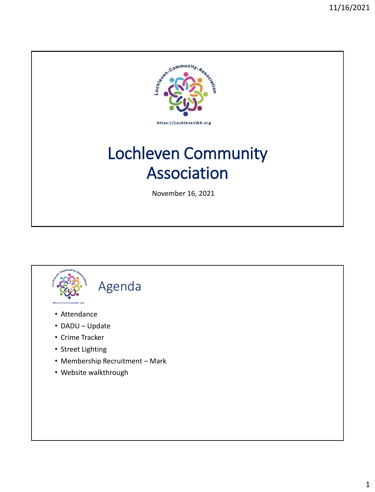

# Lochleven Community Association

November 16, 2021

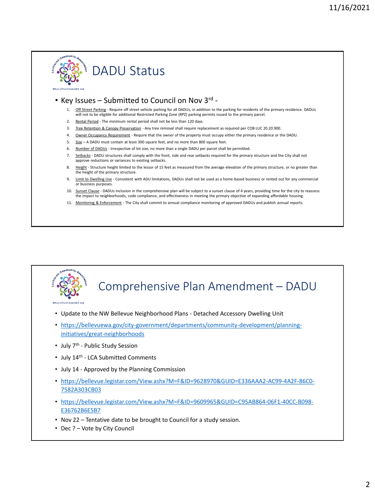

### DADU Status

### • Key Issues – Submitted to Council on Nov 3<sup>rd</sup> -

- Off Street Parking Require off street vehicle parking for all DADUs, in addition to the parking for residents of the primary residence. DADUs will not to be eligible for additional Restricted Parking Zone (RPZ) parking permits issued to the primary parcel.
- Rental Period The minimum rental period shall not be less than 120 days.
- 3. Tree Retention & Canopy Preservation Any tree removal shall require replacement as required per COB LUC 20.20.900.
- 4. Owner Occupancy Requirement Require that the owner of the property must occupy either the primary residence or the DADU.
- 5. Size A DADU must contain at least 300 square feet, and no more than 800 square feet.
- 6. Number of DADUs Irrespective of lot size, no more than a single DADU per parcel shall be permitted.
- 7. Setbacks DADU structures shall comply with the front, side and rear setbacks required for the primary structure and the City shall not approve reductions or variances to existing setbacks.
- 8. Height Structure height limited to the lessor of 15 feet as measured from the average elevation of the primary structure, or no greater than the height of the primary structure.
- 9. Limit to Dwelling Use Consistent with ADU limitations, DADUs shall not be used as a home-based business or rented out for any commercial or business purposes.
- 10. Sunset Clause DADUs inclusion in the comprehensive plan will be subject to a sunset clause of 4 years, providing time for the city to reassess the impact to neighborhoods, code compliance, and effectiveness in meeting the primary objective of expanding affordable housing.
- 11. Monitoring & Enforcement The City shall commit to annual compliance monitoring of approved DADUs and publish annual reports.



### Comprehensive Plan Amendment – DADU

https://LochlevenWA.org

- Update to the NW Bellevue Neighborhood Plans Detached Accessory Dwelling Unit
- [https://bellevuewa.gov/city-government/departments/community-development/planning](https://bellevuewa.gov/city-government/departments/community-development/planning-initiatives/great-neighborhoods)initiatives/great-neighborhoods
- July 7<sup>th</sup> Public Study Session
- July 14<sup>th</sup> LCA Submitted Comments
- July 14 Approved by the Planning Commission
- [https://bellevue.legistar.com/View.ashx?M=F&ID=9628970&GUID=E336AAA2-AC99-4A2F-86C0-](https://bellevue.legistar.com/View.ashx?M=F&ID=9628970&GUID=E336AAA2-AC99-4A2F-86C0-7582A303CB03) 7582A303CB03
- [https://bellevue.legistar.com/View.ashx?M=F&ID=9609965&GUID=C95AB864-06F1-40CC-B098-](https://bellevue.legistar.com/View.ashx?M=F&ID=9609965&GUID=C95AB864-06F1-40CC-B098-E36762B6E5B7) E36762B6E5B7
- Nov 22 Tentative date to be brought to Council for a study session.
- Dec ? Vote by City Council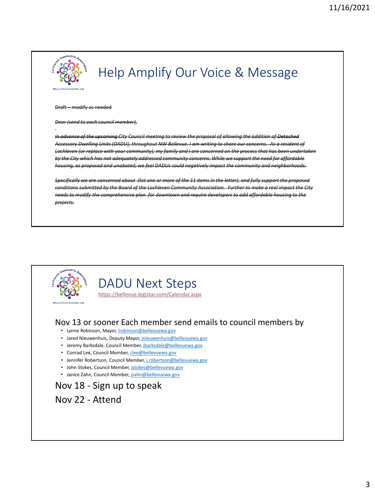

## Help Amplify Our Voice & Message

#### Draft – modify as needed

#### *Dear (send to each council member),*

*In advance of the upcoming City Council meeting to review the proposal of allowing the addition of Detached Accessory Dwelling Units (DADU), throughout NW Bellevue. I am writing to share our concerns. As a resident of Lochleven (or replace with your community), my family and I are concerned on the process that has been undertaken by the City which has not adequately addressed community concerns. While we support the need for affordable housing, as proposed and unabated, we feel DADUs could negatively impact the community and neighborhoods.* 

*Specifically we are concerned about (list one or more of the 11 items in the letter), and fully support the proposed conditions submitted by the Board of the Lochleven Community Association. Further to make a real impact the City needs to modify the comprehensive plan for downtown and require developers to add affordable housing to the projects.* 



### DADU Next Steps

<https://bellevue.legistar.com/Calendar.aspx>

#### Nov 13 or sooner Each member send emails to council members by

- Lynne Robinson, Mayor, [lrobinson@bellevuewa.gov](mailto:lrobinson@bellevuewa.gov)
- Jared Nieuwenhuis, Deputy Mayor, *inieuwenhuis@bellevuewa.gov*
- Jeremy Barksdale, Council Member, [jbarksdale@bellevuewa.gov](mailto:jbarksdale@bellevuewa.gov)
- Conrad Lee, Council Member, [clee@bellevuewa.gov](mailto:clee@bellevuewa.gov)
- Jennifer Robertson, Council Member, [j.robertson@bellevuewa.gov](mailto:j.robertson@bellevuewa.gov)
- John Stokes, Council Member, [jstokes@bellevuewa.gov](mailto:jstokes@bellevuewa.gov)
- Janice Zahn, Council Member, [jzahn@bellevuewa.gov](mailto:jzahn@bellevuewa.gov)

### Nov 18 - Sign up to speak Nov 22 - Attend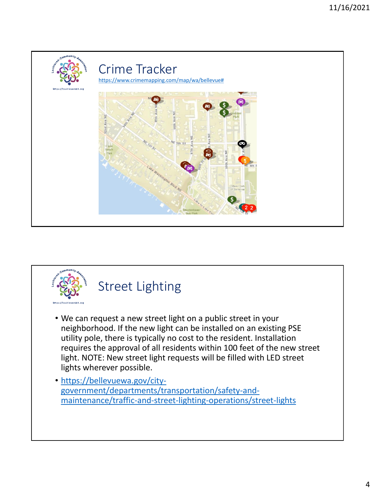





- We can request a new street light on a public street in your neighborhood. If the new light can be installed on an existing PSE utility pole, there is typically no cost to the resident. Installation requires the approval of all residents within 100 feet of the new street light. NOTE: New street light requests will be filled with LED street lights wherever possible.
- https://bellevuewa.gov/citygovernment/departments/transportation/safety-and[maintenance/traffic-and-street-lighting-operations/street-lights](https://bellevuewa.gov/city-government/departments/transportation/safety-and-maintenance/traffic-and-street-lighting-operations/street-lights)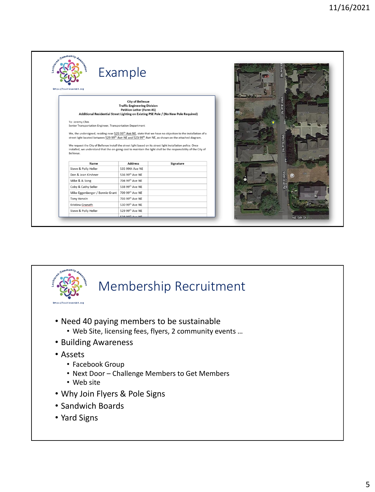| Sayancommunity. As<br>https://LochlevenWA.org                                                                                                                                                                                               | Example                                                                                            |                                                                                                                          |  | Ave<br>窩    |                |
|---------------------------------------------------------------------------------------------------------------------------------------------------------------------------------------------------------------------------------------------|----------------------------------------------------------------------------------------------------|--------------------------------------------------------------------------------------------------------------------------|--|-------------|----------------|
|                                                                                                                                                                                                                                             | <b>City of Bellevue</b><br><b>Traffic Engineering Division</b><br><b>Petition Letter (Form #1)</b> | Additional Residential Street Lighting on Existing PSE Pole / (No New Pole Required)                                     |  | 99th Ave NE | 524.           |
| To: Jeremy Chin                                                                                                                                                                                                                             |                                                                                                    |                                                                                                                          |  |             |                |
| Senior Transportation Engineer, Transportation Department                                                                                                                                                                                   |                                                                                                    |                                                                                                                          |  |             |                |
|                                                                                                                                                                                                                                             |                                                                                                    |                                                                                                                          |  |             |                |
| street light located between 529 99 <sup>th</sup> Ave NE and 523 99 <sup>th</sup> Ave NE, as shown on the attached diagram.<br>We request the City of Bellevue install the street light based on its street light installation policy. Once |                                                                                                    | We, the undersigned, residing near 529 99 <sup>th</sup> Ave NE, state that we have no objection to the installation of a |  |             |                |
| installed, we understand that the on-going cost to maintain the light shall be the responsibility of the City of<br>Bellevue.                                                                                                               |                                                                                                    |                                                                                                                          |  | 99th Ave NE |                |
| Name                                                                                                                                                                                                                                        | <b>Address</b>                                                                                     | Signature                                                                                                                |  |             |                |
| Steve & Polly Heller                                                                                                                                                                                                                        | 535 99th Ave NE                                                                                    |                                                                                                                          |  |             |                |
| Don & Jean Kirshner                                                                                                                                                                                                                         | 536 99th Ave NE                                                                                    |                                                                                                                          |  |             | $\circledcirc$ |
| Mike & JL Song                                                                                                                                                                                                                              | 704 99th Ave NE                                                                                    |                                                                                                                          |  |             |                |
| Coby & Cathy Seller                                                                                                                                                                                                                         | 538 99th Ave NE                                                                                    |                                                                                                                          |  | 99th Ave NE |                |
| Mike Eggenberger / Bonnie Grant                                                                                                                                                                                                             | 709 99th Ave NE                                                                                    |                                                                                                                          |  |             |                |
| <b>Tony Henein</b>                                                                                                                                                                                                                          | 703 99th Ave NE                                                                                    |                                                                                                                          |  |             |                |
| Kristina Granath                                                                                                                                                                                                                            | 530 99th Ave NE                                                                                    |                                                                                                                          |  |             | 520            |
| Steve & Polly Heller                                                                                                                                                                                                                        | 529 99th Ave NE<br>528 99 <sup>th</sup> Ave NF                                                     |                                                                                                                          |  |             |                |



## Membership Recruitment

- Need 40 paying members to be sustainable
	- Web Site, licensing fees, flyers, 2 community events …
- Building Awareness
- Assets
	- Facebook Group
	- Next Door Challenge Members to Get Members
	- Web site
- Why Join Flyers & Pole Signs
- Sandwich Boards
- Yard Signs